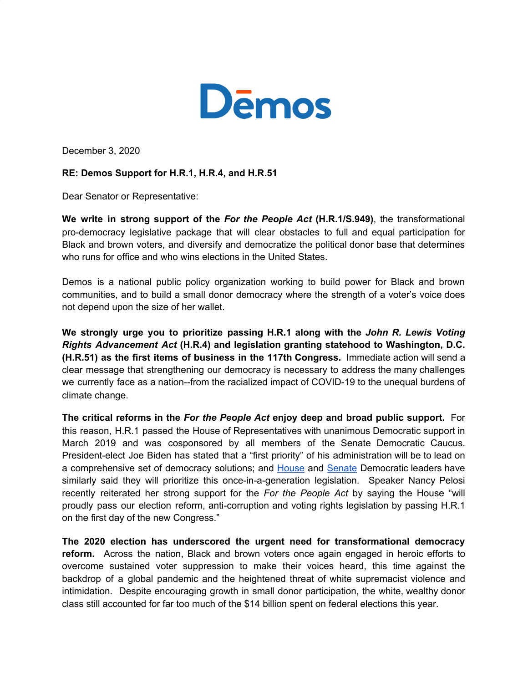

December 3, 2020

## **RE: Demos Support for H.R.1, H.R.4, and H.R.51**

Dear Senator or Representative:

**We write in strong support of the** *For the People Act* **(H.R.1/S.949)**, the transformational pro-democracy legislative package that will clear obstacles to full and equal participation for Black and brown voters, and diversify and democratize the political donor base that determines who runs for office and who wins elections in the United States.

Demos is a national public policy organization working to build power for Black and brown communities, and to build a small donor democracy where the strength of a voter's voice does not depend upon the size of her wallet.

**We strongly urge you to prioritize passing H.R.1 along with the** *John R. Lewis Voting Rights Advancement Act* **(H.R.4) and legislation granting statehood to Washington, D.C. (H.R.51) as the first items of business in the 117th Congress.** Immediate action will send a clear message that strengthening our democracy is necessary to address the many challenges we currently face as a nation--from the racialized impact of COVID-19 to the unequal burdens of climate change.

**The critical reforms in the** *For the People Act* **enjoy deep and broad public support.** For this reason, H.R.1 passed the House of Representatives with unanimous Democratic support in March 2019 and was cosponsored by all members of the Senate Democratic Caucus. President-elect Joe Biden has stated that a "first priority" of his administration will be to lead on a comprehensive set of democracy solutions; and [House](https://www.politico.com/f/?id=00000175-9df8-d665-a1ff-9ff8eb560000) and [Senate](https://crooked.com/podcast/trumps-coup-de-nah/) Democratic leaders have similarly said they will prioritize this once-in-a-generation legislation. Speaker Nancy Pelosi recently reiterated her strong support for the *For the People Act* by saying the House "will proudly pass our election reform, anti-corruption and voting rights legislation by passing H.R.1 on the first day of the new Congress."

**The 2020 election has underscored the urgent need for transformational democracy reform.** Across the nation, Black and brown voters once again engaged in heroic efforts to overcome sustained voter suppression to make their voices heard, this time against the backdrop of a global pandemic and the heightened threat of white supremacist violence and intimidation. Despite encouraging growth in small donor participation, the white, wealthy donor class still accounted for far too much of the \$14 billion spent on federal elections this year.